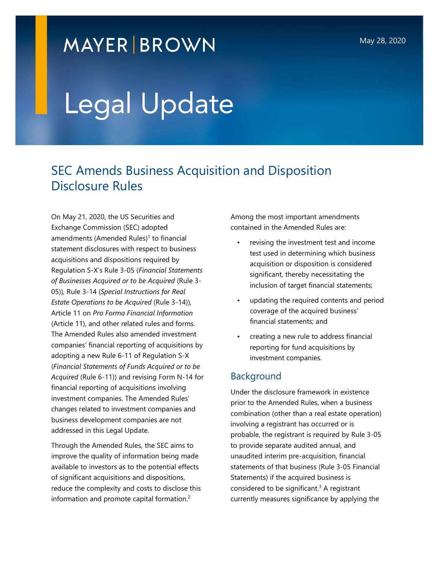## **MAYER BROWN**

# Legal Update

### SEC Amends Business Acquisition and Disposition Disclosure Rules

On May 21, 2020, the US Securities and Exchange Commission (SEC) adopted amendments (Amended Rules)<sup>1</sup> to financial statement disclosures with respect to business acquisitions and dispositions required by Regulation S-X's Rule 3-05 (*Financial Statements of Businesses Acquired or to be Acquired* (Rule 3- 05))*,* Rule 3-14 (*Special Instructions for Real Estate Operations to be Acquired* (Rule 3-14))*,*  Article 11 on *Pro Forma Financial Information*  (Article 11), and other related rules and forms. The Amended Rules also amended investment companies' financial reporting of acquisitions by adopting a new Rule 6-11 of Regulation S-X (*Financial Statements of Funds Acquired or to be Acquired* (Rule 6-11)) and revising Form N-14 for financial reporting of acquisitions involving investment companies. The Amended Rules' changes related to investment companies and business development companies are not addressed in this Legal Update.

Through the Amended Rules, the SEC aims to improve the quality of information being made available to investors as to the potential effects of significant acquisitions and dispositions, reduce the complexity and costs to disclose this information and promote capital formation.<sup>2</sup>

Among the most important amendments contained in the Amended Rules are:

- revising the investment test and income test used in determining which business acquisition or disposition is considered significant, thereby necessitating the inclusion of target financial statements;
- updating the required contents and period coverage of the acquired business' financial statements; and
- creating a new rule to address financial reporting for fund acquisitions by investment companies.

#### Background

Under the disclosure framework in existence prior to the Amended Rules, when a business combination (other than a real estate operation) involving a registrant has occurred or is probable, the registrant is required by Rule 3-05 to provide separate audited annual, and unaudited interim pre-acquisition, financial statements of that business (Rule 3-05 Financial Statements) if the acquired business is considered to be significant. $3$  A registrant currently measures significance by applying the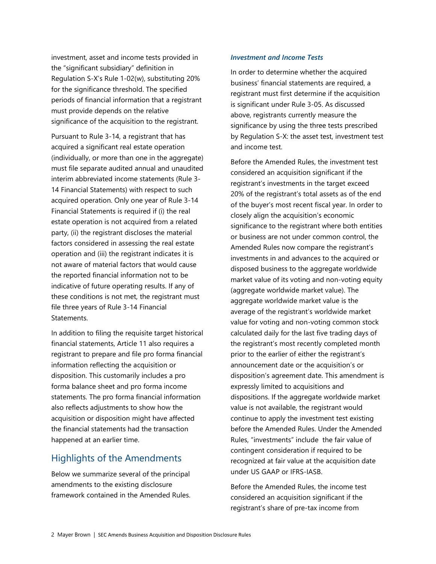investment, asset and income tests provided in the "significant subsidiary" definition in Regulation S-X's Rule 1-02(w), substituting 20% for the significance threshold. The specified periods of financial information that a registrant must provide depends on the relative significance of the acquisition to the registrant.

Pursuant to Rule 3-14, a registrant that has acquired a significant real estate operation (individually, or more than one in the aggregate) must file separate audited annual and unaudited interim abbreviated income statements (Rule 3- 14 Financial Statements) with respect to such acquired operation. Only one year of Rule 3-14 Financial Statements is required if (i) the real estate operation is not acquired from a related party, (ii) the registrant discloses the material factors considered in assessing the real estate operation and (iii) the registrant indicates it is not aware of material factors that would cause the reported financial information not to be indicative of future operating results. If any of these conditions is not met, the registrant must file three years of Rule 3-14 Financial Statements.

In addition to filing the requisite target historical financial statements, Article 11 also requires a registrant to prepare and file pro forma financial information reflecting the acquisition or disposition. This customarily includes a pro forma balance sheet and pro forma income statements. The pro forma financial information also reflects adjustments to show how the acquisition or disposition might have affected the financial statements had the transaction happened at an earlier time.

#### Highlights of the Amendments

Below we summarize several of the principal amendments to the existing disclosure framework contained in the Amended Rules.

#### *Investment and Income Tests*

In order to determine whether the acquired business' financial statements are required, a registrant must first determine if the acquisition is significant under Rule 3-05. As discussed above, registrants currently measure the significance by using the three tests prescribed by Regulation S-X: the asset test, investment test and income test.

Before the Amended Rules, the investment test considered an acquisition significant if the registrant's investments in the target exceed 20% of the registrant's total assets as of the end of the buyer's most recent fiscal year. In order to closely align the acquisition's economic significance to the registrant where both entities or business are not under common control, the Amended Rules now compare the registrant's investments in and advances to the acquired or disposed business to the aggregate worldwide market value of its voting and non-voting equity (aggregate worldwide market value). The aggregate worldwide market value is the average of the registrant's worldwide market value for voting and non-voting common stock calculated daily for the last five trading days of the registrant's most recently completed month prior to the earlier of either the registrant's announcement date or the acquisition's or disposition's agreement date. This amendment is expressly limited to acquisitions and dispositions. If the aggregate worldwide market value is not available, the registrant would continue to apply the investment test existing before the Amended Rules. Under the Amended Rules, "investments" include the fair value of contingent consideration if required to be recognized at fair value at the acquisition date under US GAAP or IFRS-IASB.

Before the Amended Rules, the income test considered an acquisition significant if the registrant's share of pre-tax income from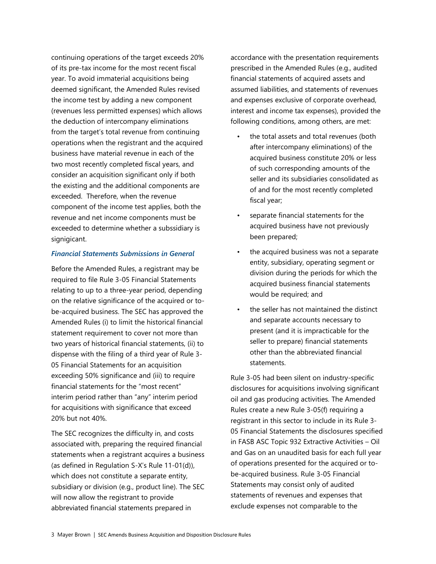continuing operations of the target exceeds 20% of its pre-tax income for the most recent fiscal year. To avoid immaterial acquisitions being deemed significant, the Amended Rules revised the income test by adding a new component (revenues less permitted expenses) which allows the deduction of intercompany eliminations from the target's total revenue from continuing operations when the registrant and the acquired business have material revenue in each of the two most recently completed fiscal years, and consider an acquisition significant only if both the existing and the additional components are exceeded. Therefore, when the revenue component of the income test applies, both the revenue and net income components must be exceeded to determine whether a subssidiary is signigicant.

#### *Financial Statements Submissions in General*

Before the Amended Rules, a registrant may be required to file Rule 3-05 Financial Statements relating to up to a three-year period, depending on the relative significance of the acquired or tobe-acquired business. The SEC has approved the Amended Rules (i) to limit the historical financial statement requirement to cover not more than two years of historical financial statements, (ii) to dispense with the filing of a third year of Rule 3- 05 Financial Statements for an acquisition exceeding 50% significance and (iii) to require financial statements for the "most recent" interim period rather than "any" interim period for acquisitions with significance that exceed 20% but not 40%.

The SEC recognizes the difficulty in, and costs associated with, preparing the required financial statements when a registrant acquires a business (as defined in Regulation S-X's Rule 11-01(d)), which does not constitute a separate entity, subsidiary or division (e.g., product line). The SEC will now allow the registrant to provide abbreviated financial statements prepared in

accordance with the presentation requirements prescribed in the Amended Rules (e.g., audited financial statements of acquired assets and assumed liabilities, and statements of revenues and expenses exclusive of corporate overhead, interest and income tax expenses), provided the following conditions, among others, are met:

- the total assets and total revenues (both after intercompany eliminations) of the acquired business constitute 20% or less of such corresponding amounts of the seller and its subsidiaries consolidated as of and for the most recently completed fiscal year;
- separate financial statements for the acquired business have not previously been prepared;
- the acquired business was not a separate entity, subsidiary, operating segment or division during the periods for which the acquired business financial statements would be required; and
- the seller has not maintained the distinct and separate accounts necessary to present (and it is impracticable for the seller to prepare) financial statements other than the abbreviated financial statements.

Rule 3-05 had been silent on industry-specific disclosures for acquisitions involving significant oil and gas producing activities. The Amended Rules create a new Rule 3-05(f) requiring a registrant in this sector to include in its Rule 3- 05 Financial Statements the disclosures specified in FASB ASC Topic 932 Extractive Activities – Oil and Gas on an unaudited basis for each full year of operations presented for the acquired or tobe-acquired business. Rule 3-05 Financial Statements may consist only of audited statements of revenues and expenses that exclude expenses not comparable to the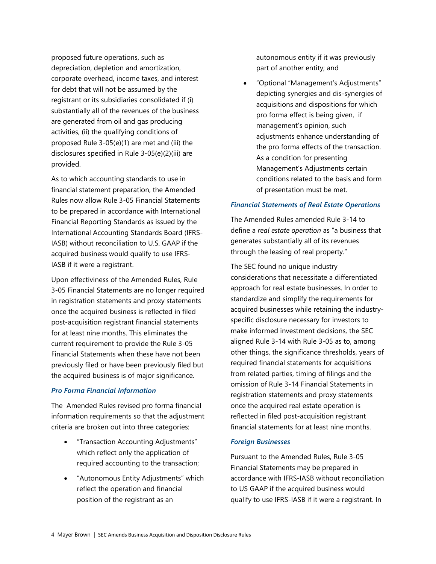proposed future operations, such as depreciation, depletion and amortization, corporate overhead, income taxes, and interest for debt that will not be assumed by the registrant or its subsidiaries consolidated if (i) substantially all of the revenues of the business are generated from oil and gas producing activities, (ii) the qualifying conditions of proposed Rule 3-05(e)(1) are met and (iii) the disclosures specified in Rule 3-05(e)(2)(iii) are provided.

As to which accounting standards to use in financial statement preparation, the Amended Rules now allow Rule 3-05 Financial Statements to be prepared in accordance with International Financial Reporting Standards as issued by the International Accounting Standards Board (IFRS-IASB) without reconciliation to U.S. GAAP if the acquired business would qualify to use IFRS-IASB if it were a registrant.

Upon effectiviness of the Amended Rules, Rule 3-05 Financial Statements are no longer required in registration statements and proxy statements once the acquired business is reflected in filed post-acquisition registrant financial statements for at least nine months. This eliminates the current requirement to provide the Rule 3-05 Financial Statements when these have not been previously filed or have been previously filed but the acquired business is of major significance.

#### *Pro Forma Financial Information*

The Amended Rules revised pro forma financial information requirements so that the adjustment criteria are broken out into three categories:

- "Transaction Accounting Adjustments" which reflect only the application of required accounting to the transaction;
- "Autonomous Entity Adjustments" which reflect the operation and financial position of the registrant as an

autonomous entity if it was previously part of another entity; and

 "Optional "Management's Adjustments" depicting synergies and dis-synergies of acquisitions and dispositions for which pro forma effect is being given, if management's opinion, such adjustments enhance understanding of the pro forma effects of the transaction. As a condition for presenting Management's Adjustments certain conditions related to the basis and form of presentation must be met.

#### *Financial Statements of Real Estate Operations*

The Amended Rules amended Rule 3-14 to define a *real estate operation* as "a business that generates substantially all of its revenues through the leasing of real property."

The SEC found no unique industry considerations that necessitate a differentiated approach for real estate businesses. In order to standardize and simplify the requirements for acquired businesses while retaining the industryspecific disclosure necessary for investors to make informed investment decisions, the SEC aligned Rule 3-14 with Rule 3-05 as to, among other things, the significance thresholds, years of required financial statements for acquisitions from related parties, timing of filings and the omission of Rule 3-14 Financial Statements in registration statements and proxy statements once the acquired real estate operation is reflected in filed post-acquisition registrant financial statements for at least nine months.

#### *Foreign Businesses*

Pursuant to the Amended Rules, Rule 3-05 Financial Statements may be prepared in accordance with IFRS-IASB without reconciliation to US GAAP if the acquired business would qualify to use IFRS-IASB if it were a registrant. In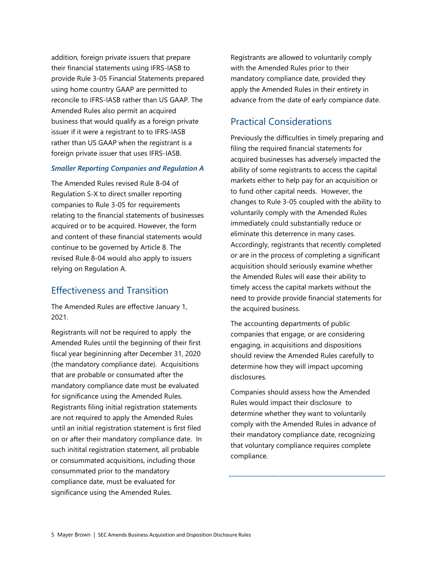addition, foreign private issuers that prepare their financial statements using IFRS-IASB to provide Rule 3-05 Financial Statements prepared using home country GAAP are permitted to reconcile to IFRS-IASB rather than US GAAP. The Amended Rules also permit an acquired business that would qualify as a foreign private issuer if it were a registrant to to IFRS-IASB rather than US GAAP when the registrant is a foreign private issuer that uses IFRS-IASB.

#### *Smaller Reporting Companies and Regulation A*

The Amended Rules revised Rule 8-04 of Regulation S-X to direct smaller reporting companies to Rule 3-05 for requirements relating to the financial statements of businesses acquired or to be acquired. However, the form and content of these financial statements would continue to be governed by Article 8. The revised Rule 8-04 would also apply to issuers relying on Regulation A.

#### Effectiveness and Transition

The Amended Rules are effective January 1, 2021.

Registrants will not be required to apply the Amended Rules until the beginning of their first fiscal year begininning after December 31, 2020 (the mandatory compliance date). Acquisitions that are probable or consumated after the mandatory compliance date must be evaluated for significance using the Amended Rules. Registrants filing initial registration statements are not required to apply the Amended Rules until an initial registration statement is first filed on or after their mandatory compliance date. In such initital registration statement, all probable or consummated acquisitions, including those consummated prior to the mandatory compliance date, must be evaluated for significance using the Amended Rules.

Registrants are allowed to voluntarily comply with the Amended Rules prior to their mandatory compliance date, provided they apply the Amended Rules in their entirety in advance from the date of early compiance date.

#### Practical Considerations

Previously the difficulties in timely preparing and filing the required financial statements for acquired businesses has adversely impacted the ability of some registrants to access the capital markets either to help pay for an acquisition or to fund other capital needs. However, the changes to Rule 3-05 coupled with the ability to voluntarily comply with the Amended Rules immediately could substantially reduce or eliminate this deterrence in many cases. Accordingly, registrants that recently completed or are in the process of completing a significant acquisition should seriously examine whether the Amended Rules will ease their ability to timely access the capital markets without the need to provide provide financial statements for the acquired business.

The accounting departments of public companies that engage, or are considering engaging, in acquisitions and dispositions should review the Amended Rules carefully to determine how they will impact upcoming disclosures.

Companies should assess how the Amended Rules would impact their disclosure to determine whether they want to voluntarily comply with the Amended Rules in advance of their mandatory compliance date, recognizing that voluntary compliance requires complete compliance.